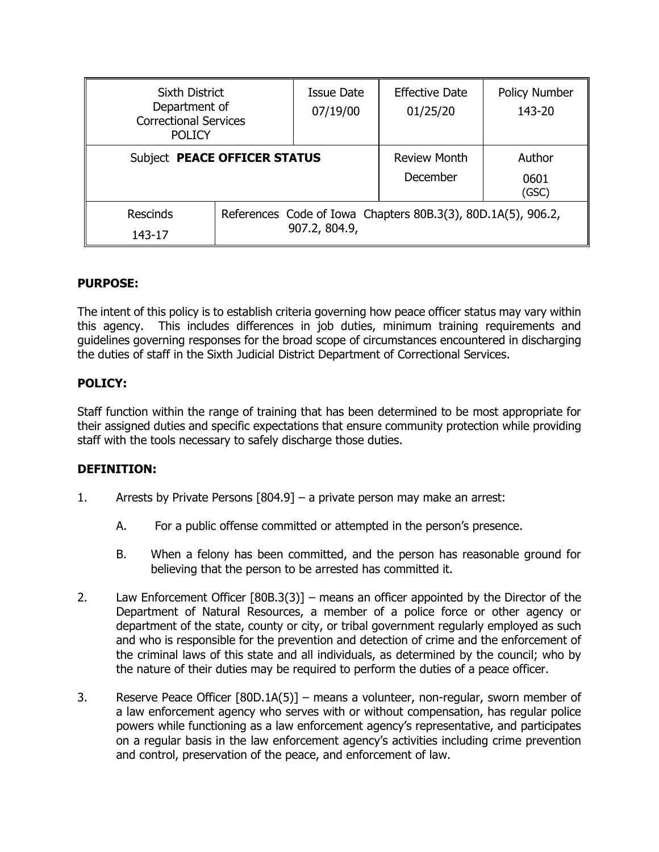| <b>Sixth District</b><br>Department of<br><b>Correctional Services</b><br><b>POLICY</b> |                                                                               | Issue Date<br>07/19/00          | <b>Effective Date</b><br>01/25/20 | <b>Policy Number</b><br>143-20 |
|-----------------------------------------------------------------------------------------|-------------------------------------------------------------------------------|---------------------------------|-----------------------------------|--------------------------------|
| Subject PEACE OFFICER STATUS                                                            |                                                                               | <b>Review Month</b><br>December | Author<br>0601<br>(GSC)           |                                |
| <b>Rescinds</b><br>143-17                                                               | References Code of Iowa Chapters 80B.3(3), 80D.1A(5), 906.2,<br>907.2, 804.9, |                                 |                                   |                                |

## **PURPOSE:**

The intent of this policy is to establish criteria governing how peace officer status may vary within this agency. This includes differences in job duties, minimum training requirements and guidelines governing responses for the broad scope of circumstances encountered in discharging the duties of staff in the Sixth Judicial District Department of Correctional Services.

## **POLICY:**

Staff function within the range of training that has been determined to be most appropriate for their assigned duties and specific expectations that ensure community protection while providing staff with the tools necessary to safely discharge those duties.

### **DEFINITION:**

- 1. Arrests by Private Persons [804.9] a private person may make an arrest:
	- A. For a public offense committed or attempted in the person's presence.
	- B. When a felony has been committed, and the person has reasonable ground for believing that the person to be arrested has committed it.
- 2. Law Enforcement Officer [80B.3(3)] means an officer appointed by the Director of the Department of Natural Resources, a member of a police force or other agency or department of the state, county or city, or tribal government regularly employed as such and who is responsible for the prevention and detection of crime and the enforcement of the criminal laws of this state and all individuals, as determined by the council; who by the nature of their duties may be required to perform the duties of a peace officer.
- 3. Reserve Peace Officer [80D.1A(5)] means a volunteer, non-regular, sworn member of a law enforcement agency who serves with or without compensation, has regular police powers while functioning as a law enforcement agency's representative, and participates on a regular basis in the law enforcement agency's activities including crime prevention and control, preservation of the peace, and enforcement of law.